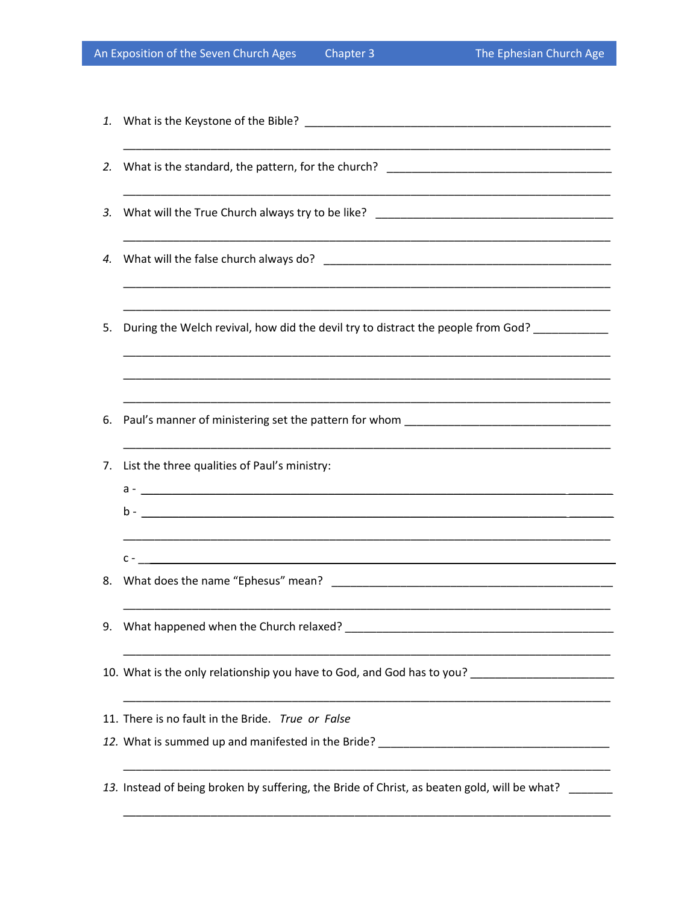| An Exposition of the Seven Church Ages |  |  |  |
|----------------------------------------|--|--|--|
|----------------------------------------|--|--|--|

| 5. | During the Welch revival, how did the devil try to distract the people from God? __________         |
|----|-----------------------------------------------------------------------------------------------------|
|    |                                                                                                     |
| 7. | List the three qualities of Paul's ministry:                                                        |
|    |                                                                                                     |
|    |                                                                                                     |
| 8. |                                                                                                     |
| 9. | What happened when the Church relaxed? _                                                            |
|    | 10. What is the only relationship you have to God, and God has to you? ____________________________ |
|    | 11. There is no fault in the Bride. True or False                                                   |
|    | 12. What is summed up and manifested in the Bride? ______________________________                   |
|    | 13. Instead of being broken by suffering, the Bride of Christ, as beaten gold, will be what?        |